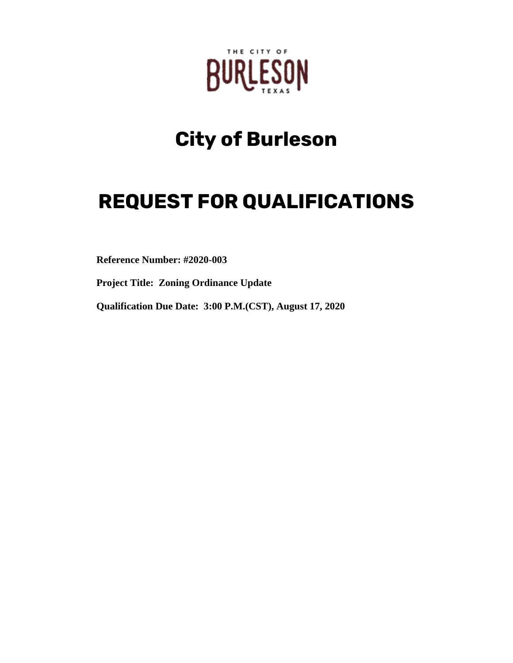

# **City of Burleson**

# **REQUEST FOR QUALIFICATIONS**

**Reference Number: #2020-003**

**Project Title: Zoning Ordinance Update**

**Qualification Due Date: 3:00 P.M.(CST), August 17, 2020**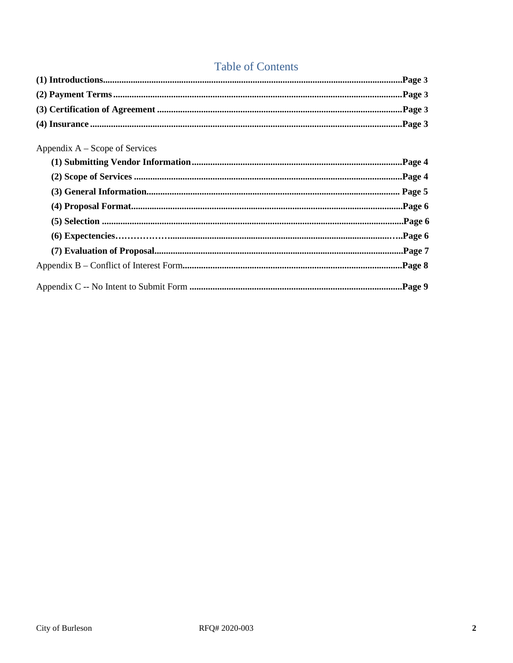## **Table of Contents**

| Appendix $A -$ Scope of Services |  |
|----------------------------------|--|
|                                  |  |
|                                  |  |
|                                  |  |
|                                  |  |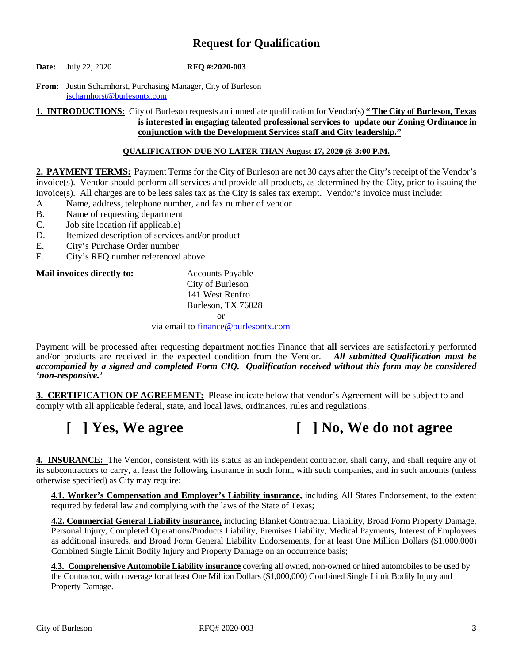### **Request for Qualification**

**Date:** July 22, 2020 **RFQ #:2020-003**

**From:** Justin Scharnhorst, Purchasing Manager, City of Burleson [jscharnhorst@burlesontx.com](mailto:jscharnhorst@burlesontx.com)

**1. INTRODUCTIONS:** City of Burleson requests an immediate qualification for Vendor(s) **" The City of Burleson, Texas is interested in engaging talented professional services to update our Zoning Ordinance in conjunction with the Development Services staff and City leadership."**

#### **QUALIFICATION DUE NO LATER THAN August 17, 2020 @ 3:00 P.M.**

**2. PAYMENT TERMS:** Payment Terms for the City of Burleson are net 30 days after the City's receipt of the Vendor's invoice(s). Vendor should perform all services and provide all products, as determined by the City, prior to issuing the invoice(s). All charges are to be less sales tax as the City is sales tax exempt. Vendor's invoice must include:

- A. Name, address, telephone number, and fax number of vendor
- B. Name of requesting department
- C. Job site location (if applicable)
- D. Itemized description of services and/or product
- E. City's Purchase Order number<br>F. City's RFO number referenced
- City's RFQ number referenced above

#### **Mail invoices directly to:** Accounts Payable

City of Burleson 141 West Renfro Burleson, TX 76028

or

via email t[o finance@burlesontx.com](mailto:finance@burlesontx.com)

Payment will be processed after requesting department notifies Finance that **all** services are satisfactorily performed and/or products are received in the expected condition from the Vendor. *All submitted Qualification must be accompanied by a signed and completed Form CIQ. Qualification received without this form may be considered 'non-responsive.'*

**3. CERTIFICATION OF AGREEMENT:** Please indicate below that vendor's Agreement will be subject to and comply with all applicable federal, state, and local laws, ordinances, rules and regulations.

# **[ ] Yes, We agree [ ] No, We do not agree**

**4. INSURANCE:** The Vendor, consistent with its status as an independent contractor, shall carry, and shall require any of its subcontractors to carry, at least the following insurance in such form, with such companies, and in such amounts (unless otherwise specified) as City may require:

**4.1. Worker's Compensation and Employer's Liability insurance,** including All States Endorsement, to the extent required by federal law and complying with the laws of the State of Texas;

**4.2. Commercial General Liability insurance,** including Blanket Contractual Liability, Broad Form Property Damage, Personal Injury, Completed Operations/Products Liability, Premises Liability, Medical Payments, Interest of Employees as additional insureds, and Broad Form General Liability Endorsements, for at least One Million Dollars (\$1,000,000) Combined Single Limit Bodily Injury and Property Damage on an occurrence basis;

**4.3. Comprehensive Automobile Liability insurance** covering all owned, non-owned or hired automobiles to be used by the Contractor, with coverage for at least One Million Dollars (\$1,000,000) Combined Single Limit Bodily Injury and Property Damage.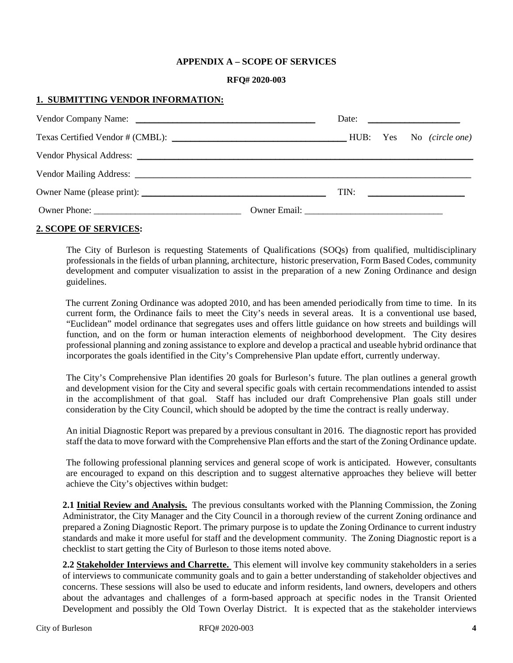#### **APPENDIX A – SCOPE OF SERVICES**

#### **RFQ# 2020-003**

#### **1. SUBMITTING VENDOR INFORMATION:**

|  |  | Date: $\frac{1}{\sqrt{1-\frac{1}{2}} \cdot \frac{1}{2}}$ |
|--|--|----------------------------------------------------------|
|  |  |                                                          |
|  |  |                                                          |
|  |  |                                                          |
|  |  | $\boxed{\text{TN:}}$                                     |
|  |  |                                                          |

#### **2. SCOPE OF SERVICES:**

The City of Burleson is requesting Statements of Qualifications (SOQs) from qualified, multidisciplinary professionals in the fields of urban planning, architecture, historic preservation, Form Based Codes, community development and computer visualization to assist in the preparation of a new Zoning Ordinance and design guidelines.

The current Zoning Ordinance was adopted 2010, and has been amended periodically from time to time. In its current form, the Ordinance fails to meet the City's needs in several areas. It is a conventional use based, "Euclidean" model ordinance that segregates uses and offers little guidance on how streets and buildings will function, and on the form or human interaction elements of neighborhood development. The City desires professional planning and zoning assistance to explore and develop a practical and useable hybrid ordinance that incorporates the goals identified in the City's Comprehensive Plan update effort, currently underway.

The City's Comprehensive Plan identifies 20 goals for Burleson's future. The plan outlines a general growth and development vision for the City and several specific goals with certain recommendations intended to assist in the accomplishment of that goal. Staff has included our draft Comprehensive Plan goals still under consideration by the City Council, which should be adopted by the time the contract is really underway.

An initial Diagnostic Report was prepared by a previous consultant in 2016. The diagnostic report has provided staff the data to move forward with the Comprehensive Plan efforts and the start of the Zoning Ordinance update.

The following professional planning services and general scope of work is anticipated. However, consultants are encouraged to expand on this description and to suggest alternative approaches they believe will better achieve the City's objectives within budget:

**2.1 Initial Review and Analysis.** The previous consultants worked with the Planning Commission, the Zoning Administrator, the City Manager and the City Council in a thorough review of the current Zoning ordinance and prepared a Zoning Diagnostic Report. The primary purpose is to update the Zoning Ordinance to current industry standards and make it more useful for staff and the development community. The Zoning Diagnostic report is a checklist to start getting the City of Burleson to those items noted above.

**2.2 Stakeholder Interviews and Charrette.** This element will involve key community stakeholders in a series of interviews to communicate community goals and to gain a better understanding of stakeholder objectives and concerns. These sessions will also be used to educate and inform residents, land owners, developers and others about the advantages and challenges of a form-based approach at specific nodes in the Transit Oriented Development and possibly the Old Town Overlay District. It is expected that as the stakeholder interviews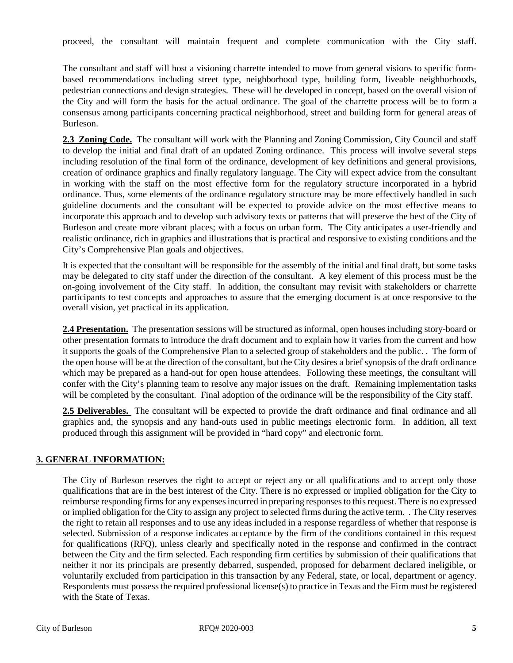proceed, the consultant will maintain frequent and complete communication with the City staff.

The consultant and staff will host a visioning charrette intended to move from general visions to specific formbased recommendations including street type, neighborhood type, building form, liveable neighborhoods, pedestrian connections and design strategies. These will be developed in concept, based on the overall vision of the City and will form the basis for the actual ordinance. The goal of the charrette process will be to form a consensus among participants concerning practical neighborhood, street and building form for general areas of Burleson.

**2.3 Zoning Code.** The consultant will work with the Planning and Zoning Commission, City Council and staff to develop the initial and final draft of an updated Zoning ordinance. This process will involve several steps including resolution of the final form of the ordinance, development of key definitions and general provisions, creation of ordinance graphics and finally regulatory language. The City will expect advice from the consultant in working with the staff on the most effective form for the regulatory structure incorporated in a hybrid ordinance. Thus, some elements of the ordinance regulatory structure may be more effectively handled in such guideline documents and the consultant will be expected to provide advice on the most effective means to incorporate this approach and to develop such advisory texts or patterns that will preserve the best of the City of Burleson and create more vibrant places; with a focus on urban form. The City anticipates a user-friendly and realistic ordinance, rich in graphics and illustrations that is practical and responsive to existing conditions and the City's Comprehensive Plan goals and objectives.

It is expected that the consultant will be responsible for the assembly of the initial and final draft, but some tasks may be delegated to city staff under the direction of the consultant. A key element of this process must be the on-going involvement of the City staff. In addition, the consultant may revisit with stakeholders or charrette participants to test concepts and approaches to assure that the emerging document is at once responsive to the overall vision, yet practical in its application.

**2.4 Presentation.** The presentation sessions will be structured as informal, open houses including story-board or other presentation formats to introduce the draft document and to explain how it varies from the current and how it supports the goals of the Comprehensive Plan to a selected group of stakeholders and the public. . The form of the open house will be at the direction of the consultant, but the City desires a brief synopsis of the draft ordinance which may be prepared as a hand-out for open house attendees. Following these meetings, the consultant will confer with the City's planning team to resolve any major issues on the draft. Remaining implementation tasks will be completed by the consultant. Final adoption of the ordinance will be the responsibility of the City staff.

**2.5 Deliverables.** The consultant will be expected to provide the draft ordinance and final ordinance and all graphics and, the synopsis and any hand-outs used in public meetings electronic form. In addition, all text produced through this assignment will be provided in "hard copy" and electronic form.

### **3. GENERAL INFORMATION:**

The City of Burleson reserves the right to accept or reject any or all qualifications and to accept only those qualifications that are in the best interest of the City. There is no expressed or implied obligation for the City to reimburse responding firms for any expenses incurred in preparing responses to this request. There is no expressed or implied obligation for the City to assign any project to selected firms during the active term. . The City reserves the right to retain all responses and to use any ideas included in a response regardless of whether that response is selected. Submission of a response indicates acceptance by the firm of the conditions contained in this request for qualifications (RFQ), unless clearly and specifically noted in the response and confirmed in the contract between the City and the firm selected. Each responding firm certifies by submission of their qualifications that neither it nor its principals are presently debarred, suspended, proposed for debarment declared ineligible, or voluntarily excluded from participation in this transaction by any Federal, state, or local, department or agency. Respondents must possess the required professional license(s) to practice in Texas and the Firm must be registered with the State of Texas.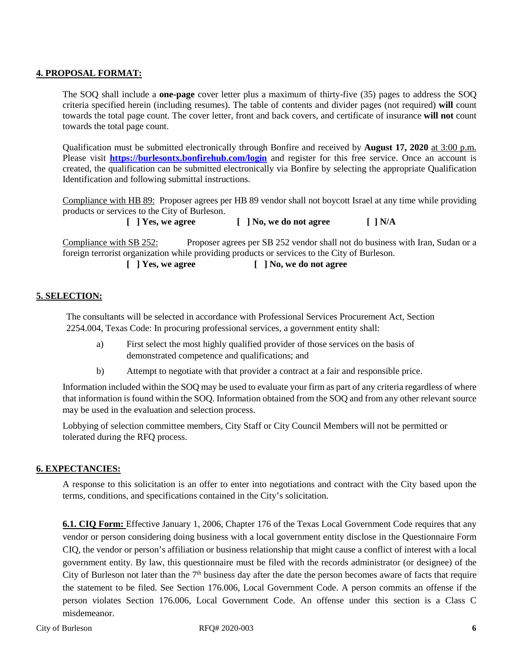#### **4. PROPOSAL FORMAT:**

The SOQ shall include a **one-page** cover letter plus a maximum of thirty-five (35) pages to address the SOQ criteria specified herein (including resumes). The table of contents and divider pages (not required) **will** count towards the total page count. The cover letter, front and back covers, and certificate of insurance **will not** count towards the total page count.

Qualification must be submitted electronically through Bonfire and received by **August 17, 2020** at 3:00 p.m. Please visit **<https://burlesontx.bonfirehub.com/login>** and register for this free service. Once an account is created, the qualification can be submitted electronically via Bonfire by selecting the appropriate Qualification Identification and following submittal instructions.

Compliance with HB 89: Proposer agrees per HB 89 vendor shall not boycott Israel at any time while providing products or services to the City of Burleson.

**[ ] Yes, we agree [ ] No, we do not agree [ ] N/A**

Compliance with SB 252: Proposer agrees per SB 252 vendor shall not do business with Iran, Sudan or a foreign terrorist organization while providing products or services to the City of Burleson.

**[ ] Yes, we agree [ ] No, we do not agree**

#### **5. SELECTION:**

The consultants will be selected in accordance with Professional Services Procurement Act, Section 2254.004, Texas Code: In procuring professional services, a government entity shall:

- a) First select the most highly qualified provider of those services on the basis of demonstrated competence and qualifications; and
- b) Attempt to negotiate with that provider a contract at a fair and responsible price.

Information included within the SOQ may be used to evaluate your firm as part of any criteria regardless of where that information is found within the SOQ. Information obtained from the SOQ and from any other relevant source may be used in the evaluation and selection process.

Lobbying of selection committee members, City Staff or City Council Members will not be permitted or tolerated during the RFQ process.

#### **6. EXPECTANCIES:**

A response to this solicitation is an offer to enter into negotiations and contract with the City based upon the terms, conditions, and specifications contained in the City's solicitation.

**6.1. CIQ Form:** Effective January 1, 2006, Chapter 176 of the Texas Local Government Code requires that any vendor or person considering doing business with a local government entity disclose in the Questionnaire Form CIQ, the vendor or person's affiliation or business relationship that might cause a conflict of interest with a local government entity. By law, this questionnaire must be filed with the records administrator (or designee) of the City of Burleson not later than the  $7<sup>th</sup>$  business day after the date the person becomes aware of facts that require the statement to be filed. See Section 176.006, Local Government Code. A person commits an offense if the person violates Section 176.006, Local Government Code. An offense under this section is a Class C misdemeanor.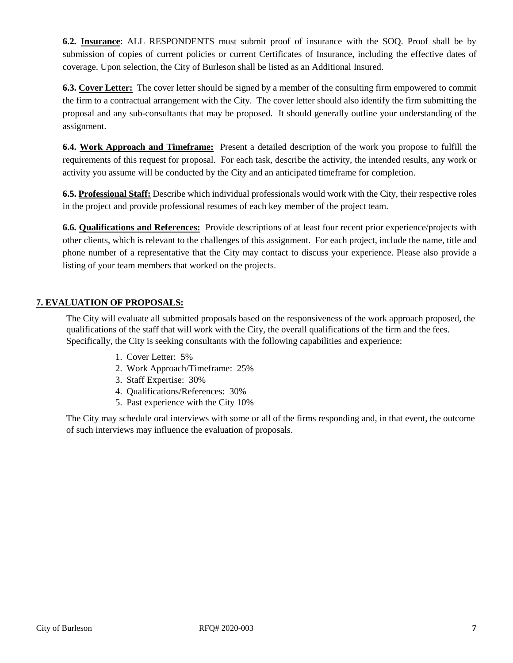**6.2. Insurance**: ALL RESPONDENTS must submit proof of insurance with the SOQ. Proof shall be by submission of copies of current policies or current Certificates of Insurance, including the effective dates of coverage. Upon selection, the City of Burleson shall be listed as an Additional Insured.

**6.3. Cover Letter:** The cover letter should be signed by a member of the consulting firm empowered to commit the firm to a contractual arrangement with the City. The cover letter should also identify the firm submitting the proposal and any sub-consultants that may be proposed. It should generally outline your understanding of the assignment.

**6.4. Work Approach and Timeframe:** Present a detailed description of the work you propose to fulfill the requirements of this request for proposal. For each task, describe the activity, the intended results, any work or activity you assume will be conducted by the City and an anticipated timeframe for completion.

**6.5. Professional Staff:** Describe which individual professionals would work with the City, their respective roles in the project and provide professional resumes of each key member of the project team.

**6.6. Qualifications and References:** Provide descriptions of at least four recent prior experience/projects with other clients, which is relevant to the challenges of this assignment. For each project, include the name, title and phone number of a representative that the City may contact to discuss your experience. Please also provide a listing of your team members that worked on the projects.

#### **7. EVALUATION OF PROPOSALS:**

The City will evaluate all submitted proposals based on the responsiveness of the work approach proposed, the qualifications of the staff that will work with the City, the overall qualifications of the firm and the fees. Specifically, the City is seeking consultants with the following capabilities and experience:

- 1. Cover Letter: 5%
- 2. Work Approach/Timeframe: 25%
- 3. Staff Expertise: 30%
- 4. Qualifications/References: 30%
- 5. Past experience with the City 10%

The City may schedule oral interviews with some or all of the firms responding and, in that event, the outcome of such interviews may influence the evaluation of proposals.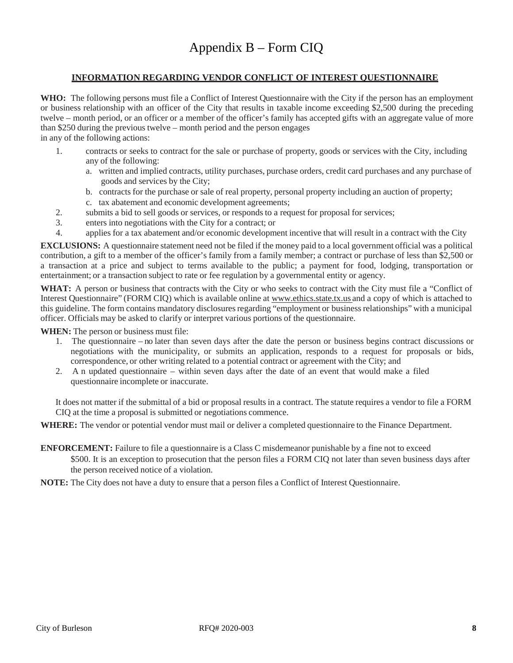#### **INFORMATION REGARDING VENDOR CONFLICT OF INTEREST QUESTIONNAIRE**

**WHO:** The following persons must file a Conflict of Interest Questionnaire with the City if the person has an employment or business relationship with an officer of the City that results in taxable income exceeding \$2,500 during the preceding twelve – month period, or an officer or a member of the officer's family has accepted gifts with an aggregate value of more than \$250 during the previous twelve – month period and the person engages

in any of the following actions:

- 1. contracts or seeks to contract for the sale or purchase of property, goods or services with the City, including any of the following:
	- a. written and implied contracts, utility purchases, purchase orders, credit card purchases and any purchase of goods and services by the City;
	- b. contracts for the purchase or sale of real property, personal property including an auction of property;
	- c. tax abatement and economic development agreements;
- 2. submits a bid to sell goods or services, or responds to a request for proposal for services;
- 3. enters into negotiations with the City for a contract; or
- 4. applies for a tax abatement and/or economic development incentive that will result in a contract with the City

**EXCLUSIONS:** A questionnaire statement need not be filed if the money paid to a local government official was a political contribution, a gift to a member of the officer's family from a family member; a contract or purchase of less than \$2,500 or a transaction at a price and subject to terms available to the public; a payment for food, lodging, transportation or entertainment; or a transaction subject to rate or fee regulation by a governmental entity or agency.

**WHAT:** A person or business that contracts with the City or who seeks to contract with the City must file a "Conflict of Interest Questionnaire" (FORM CIQ) which is available online at [www.ethics.state.tx.us](http://www.ethics.state.tx.us/) and a copy of which is attached to this guideline. The form contains mandatory disclosures regarding "employment or business relationships" with a municipal officer. Officials may be asked to clarify or interpret various portions of the questionnaire.

**WHEN:** The person or business must file:

- 1. The questionnaire no later than seven days after the date the person or business begins contract discussions or negotiations with the municipality, or submits an application, responds to a request for proposals or bids, correspondence, or other writing related to a potential contract or agreement with the City; and
- 2. A n updated questionnaire within seven days after the date of an event that would make a filed questionnaire incomplete or inaccurate.

It does not matter if the submittal of a bid or proposal results in a contract. The statute requires a vendor to file a FORM CIQ at the time a proposal is submitted or negotiations commence.

**WHERE:** The vendor or potential vendor must mail or deliver a completed questionnaire to the Finance Department.

#### **ENFORCEMENT:** Failure to file a questionnaire is a Class C misdemeanor punishable by a fine not to exceed

\$500. It is an exception to prosecution that the person files a FORM CIQ not later than seven business days after the person received notice of a violation.

**NOTE:** The City does not have a duty to ensure that a person files a Conflict of Interest Questionnaire.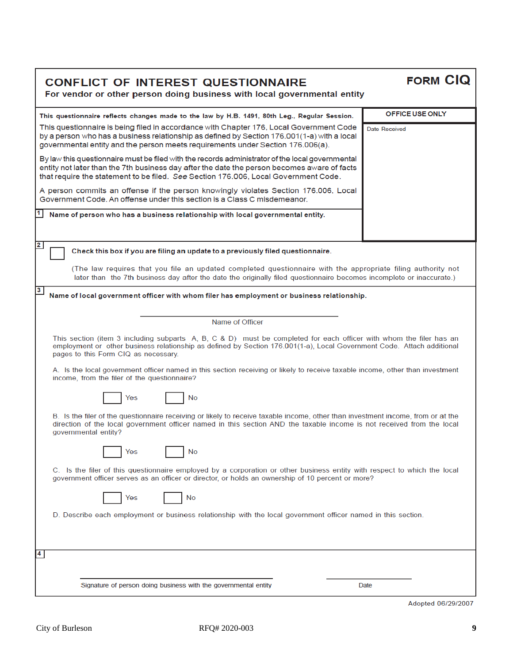| <b>CONFLICT OF INTEREST QUESTIONNAIRE</b>                                |
|--------------------------------------------------------------------------|
| For vendor or other person doing business with local governmental entity |

FORM CIQ

| This questionnaire reflects changes made to the law by H.B. 1491, 80th Leg., Regular Session.                                                                                                                                                                                                     | OFFICE USE ONLY |  |  |  |
|---------------------------------------------------------------------------------------------------------------------------------------------------------------------------------------------------------------------------------------------------------------------------------------------------|-----------------|--|--|--|
| This questionnaire is being filed in accordance with Chapter 176, Local Government Code<br><b>Date Received</b><br>by a person who has a business relationship as defined by Section 176.001(1-a) with a local<br>governmental entity and the person meets requirements under Section 176.006(a). |                 |  |  |  |
| By law this questionnaire must be filed with the records administrator of the local governmental<br>entity not later than the 7th business day after the date the person becomes aware of facts<br>that require the statement to be filed. See Section 176.006, Local Government Code.            |                 |  |  |  |
| A person commits an offense if the person knowingly violates Section 176.006, Local<br>Government Code, An offense under this section is a Class C misdemeanor.                                                                                                                                   |                 |  |  |  |
| $1$ Name of person who has a business relationship with local governmental entity.                                                                                                                                                                                                                |                 |  |  |  |
|                                                                                                                                                                                                                                                                                                   |                 |  |  |  |
| $\overline{\mathbf{2}}$<br>Check this box if you are filing an update to a previously filed questionnaire.                                                                                                                                                                                        |                 |  |  |  |
| (The law requires that you file an updated completed questionnaire with the appropriate filing authority not<br>later than the 7th business day after the date the originally filed questionnaire becomes incomplete or inaccurate.)                                                              |                 |  |  |  |
| $\mathbf{3}$<br>Name of local government officer with whom filer has employment or business relationship.                                                                                                                                                                                         |                 |  |  |  |
|                                                                                                                                                                                                                                                                                                   |                 |  |  |  |
| Name of Officer                                                                                                                                                                                                                                                                                   |                 |  |  |  |
| This section (item 3 including subparts A, B, C & D) must be completed for each officer with whom the filer has an<br>employment or other business relationship as defined by Section 176.001(1-a), Local Government Code. Attach additional<br>pages to this Form CIQ as necessary.              |                 |  |  |  |
| A. Is the local government officer named in this section receiving or likely to receive taxable income, other than investment<br>income, from the filer of the questionnaire?                                                                                                                     |                 |  |  |  |
| No<br>Yes                                                                                                                                                                                                                                                                                         |                 |  |  |  |
| B. Is the filer of the questionnaire receiving or likely to receive taxable income, other than investment income, from or at the<br>direction of the local government officer named in this section AND the taxable income is not received from the local<br>governmental entity?                 |                 |  |  |  |
| Yes<br>No                                                                                                                                                                                                                                                                                         |                 |  |  |  |
| C. Is the filer of this questionnaire employed by a corporation or other business entity with respect to which the local<br>government officer serves as an officer or director, or holds an ownership of 10 percent or more?                                                                     |                 |  |  |  |
| No<br>Yes                                                                                                                                                                                                                                                                                         |                 |  |  |  |
| D. Describe each employment or business relationship with the local government officer named in this section.                                                                                                                                                                                     |                 |  |  |  |
|                                                                                                                                                                                                                                                                                                   |                 |  |  |  |
| $\overline{\mathbf{4}}$                                                                                                                                                                                                                                                                           |                 |  |  |  |
|                                                                                                                                                                                                                                                                                                   |                 |  |  |  |
| Signature of person doing business with the governmental entity                                                                                                                                                                                                                                   | Date            |  |  |  |
|                                                                                                                                                                                                                                                                                                   |                 |  |  |  |